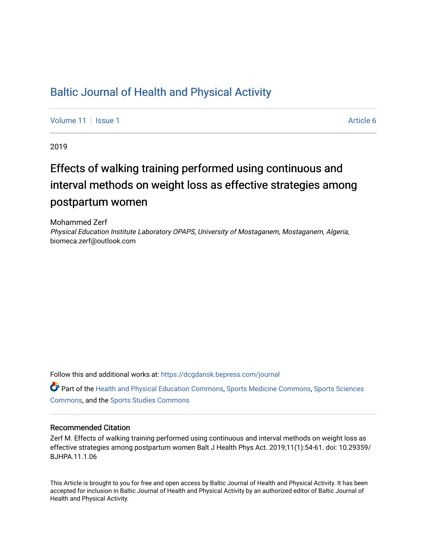## [Baltic Journal of Health and Physical Activity](https://dcgdansk.bepress.com/journal)

[Volume 11](https://dcgdansk.bepress.com/journal/vol11) | [Issue 1](https://dcgdansk.bepress.com/journal/vol11/iss1) Article 6

2019

# Effects of walking training performed using continuous and interval methods on weight loss as effective strategies among postpartum women

Mohammed Zerf Physical Education Institute Laboratory OPAPS, University of Mostaganem, Mostaganem, Algeria, biomeca.zerf@outlook.com

Follow this and additional works at: [https://dcgdansk.bepress.com/journal](https://dcgdansk.bepress.com/journal?utm_source=dcgdansk.bepress.com%2Fjournal%2Fvol11%2Fiss1%2F6&utm_medium=PDF&utm_campaign=PDFCoverPages)

Part of the [Health and Physical Education Commons](http://network.bepress.com/hgg/discipline/1327?utm_source=dcgdansk.bepress.com%2Fjournal%2Fvol11%2Fiss1%2F6&utm_medium=PDF&utm_campaign=PDFCoverPages), [Sports Medicine Commons,](http://network.bepress.com/hgg/discipline/1331?utm_source=dcgdansk.bepress.com%2Fjournal%2Fvol11%2Fiss1%2F6&utm_medium=PDF&utm_campaign=PDFCoverPages) [Sports Sciences](http://network.bepress.com/hgg/discipline/759?utm_source=dcgdansk.bepress.com%2Fjournal%2Fvol11%2Fiss1%2F6&utm_medium=PDF&utm_campaign=PDFCoverPages) [Commons](http://network.bepress.com/hgg/discipline/759?utm_source=dcgdansk.bepress.com%2Fjournal%2Fvol11%2Fiss1%2F6&utm_medium=PDF&utm_campaign=PDFCoverPages), and the [Sports Studies Commons](http://network.bepress.com/hgg/discipline/1198?utm_source=dcgdansk.bepress.com%2Fjournal%2Fvol11%2Fiss1%2F6&utm_medium=PDF&utm_campaign=PDFCoverPages) 

#### Recommended Citation

Zerf M. Effects of walking training performed using continuous and interval methods on weight loss as effective strategies among postpartum women Balt J Health Phys Act. 2019;11(1):54-61. doi: 10.29359/ BJHPA.11.1.06

This Article is brought to you for free and open access by Baltic Journal of Health and Physical Activity. It has been accepted for inclusion in Baltic Journal of Health and Physical Activity by an authorized editor of Baltic Journal of Health and Physical Activity.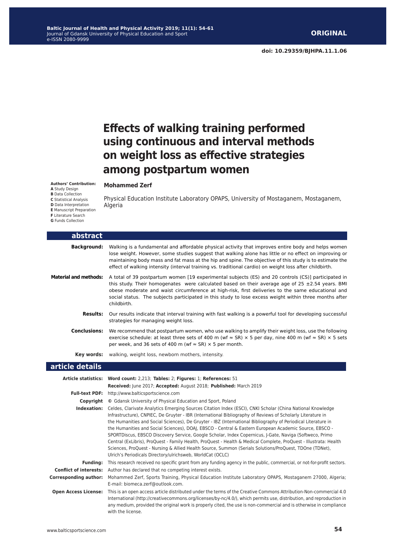**Mohammed Zerf**

## **Effects of walking training performed using continuous and interval methods on weight loss as effective strategies among postpartum women**

**Authors' Contribution:**

#### **A** Study Design

**B** Data Collection

**C** Statistical Analysis

**D** Data Interpretation

- **E** Manuscript Preparation
- **F** Literature Search
- **G** Funds Collection

Physical Education Institute Laboratory OPAPS, University of Mostaganem, Mostaganem, Algeria

| abstract                     |                                                                                                                                                                                                                                                                                                                                                                                                                                                                                                                                                                                                                                                                                                                                                                                                                                                               |
|------------------------------|---------------------------------------------------------------------------------------------------------------------------------------------------------------------------------------------------------------------------------------------------------------------------------------------------------------------------------------------------------------------------------------------------------------------------------------------------------------------------------------------------------------------------------------------------------------------------------------------------------------------------------------------------------------------------------------------------------------------------------------------------------------------------------------------------------------------------------------------------------------|
| <b>Background:</b>           | Walking is a fundamental and affordable physical activity that improves entire body and helps women<br>lose weight. However, some studies suggest that walking alone has little or no effect on improving or<br>maintaining body mass and fat mass at the hip and spine. The objective of this study is to estimate the<br>effect of walking intensity (interval training vs. traditional cardio) on weight loss after childbirth.                                                                                                                                                                                                                                                                                                                                                                                                                            |
| <b>Material and methods:</b> | A total of 39 postpartum women [19 experimental subjects (ES) and 20 controls (CS)] participated in<br>this study. Their homogenates were calculated based on their average age of $25 \pm 2.54$ years. BMI<br>obese moderate and waist circumference at high-risk, first deliveries to the same educational and<br>social status. The subjects participated in this study to lose excess weight within three months after<br>childbirth.                                                                                                                                                                                                                                                                                                                                                                                                                     |
| <b>Results:</b>              | Our results indicate that interval training with fast walking is a powerful tool for developing successful<br>strategies for managing weight loss.                                                                                                                                                                                                                                                                                                                                                                                                                                                                                                                                                                                                                                                                                                            |
| <b>Conclusions:</b>          | We recommend that postpartum women, who use walking to amplify their weight loss, use the following<br>exercise schedule: at least three sets of 400 m (wf $\approx$ SR) $\times$ 5 per day, nine 400 m (wf $\approx$ SR) $\times$ 5 sets<br>per week, and 36 sets of 400 m (wf $\approx$ SR) $\times$ 5 per month.                                                                                                                                                                                                                                                                                                                                                                                                                                                                                                                                           |
| Key words:                   | walking, weight loss, newborn mothers, intensity.                                                                                                                                                                                                                                                                                                                                                                                                                                                                                                                                                                                                                                                                                                                                                                                                             |
| article details              |                                                                                                                                                                                                                                                                                                                                                                                                                                                                                                                                                                                                                                                                                                                                                                                                                                                               |
|                              |                                                                                                                                                                                                                                                                                                                                                                                                                                                                                                                                                                                                                                                                                                                                                                                                                                                               |
|                              | Article statistics: Word count: 2,213; Tables: 2; Figures: 1; References: 51<br>Received: June 2017; Accepted: August 2018; Published: March 2019                                                                                                                                                                                                                                                                                                                                                                                                                                                                                                                                                                                                                                                                                                             |
|                              | Full-text PDF: http://www.balticsportscience.com                                                                                                                                                                                                                                                                                                                                                                                                                                                                                                                                                                                                                                                                                                                                                                                                              |
|                              | <b>Copyright</b> © Gdansk University of Physical Education and Sport, Poland                                                                                                                                                                                                                                                                                                                                                                                                                                                                                                                                                                                                                                                                                                                                                                                  |
| Indexation:                  | Celdes, Clarivate Analytics Emerging Sources Citation Index (ESCI), CNKI Scholar (China National Knowledge<br>Infrastructure), CNPIEC, De Gruyter - IBR (International Bibliography of Reviews of Scholarly Literature in<br>the Humanities and Social Sciences), De Gruyter - IBZ (International Bibliography of Periodical Literature in<br>the Humanities and Social Sciences), DOAJ, EBSCO - Central & Eastern European Academic Source, EBSCO -<br>SPORTDiscus, EBSCO Discovery Service, Google Scholar, Index Copernicus, J-Gate, Naviga (Softweco, Primo<br>Central (ExLibris), ProQuest - Family Health, ProQuest - Health & Medical Complete, ProQuest - Illustrata: Health<br>Sciences, ProQuest - Nursing & Allied Health Source, Summon (Serials Solutions/ProQuest, TDOne (TDNet),<br>Ulrich's Periodicals Directory/ulrichsweb, WorldCat (OCLC) |
| Funding:                     | This research received no specific grant from any funding agency in the public, commercial, or not-for-profit sectors.                                                                                                                                                                                                                                                                                                                                                                                                                                                                                                                                                                                                                                                                                                                                        |
|                              | <b>Conflict of interests:</b> Author has declared that no competing interest exists.                                                                                                                                                                                                                                                                                                                                                                                                                                                                                                                                                                                                                                                                                                                                                                          |
| <b>Corresponding author:</b> | Mohammed Zerf, Sports Training, Physical Education Institute Laboratory OPAPS, Mostaganem 27000, Algeria;<br>E-mail: biomeca.zerf@outlook.com.<br>This is an announcement of distribution of contractions of the Constitut Commons Attailable New Account of A.O                                                                                                                                                                                                                                                                                                                                                                                                                                                                                                                                                                                              |

**Open Access License:** This is an open access article distributed under the terms of the Creative Commons Attribution-Non-commercial 4.0 International (http://creativecommons.org/licenses/by-nc/4.0/), which permits use, distribution, and reproduction in any medium, provided the original work is properly cited, the use is non-commercial and is otherwise in compliance with the license.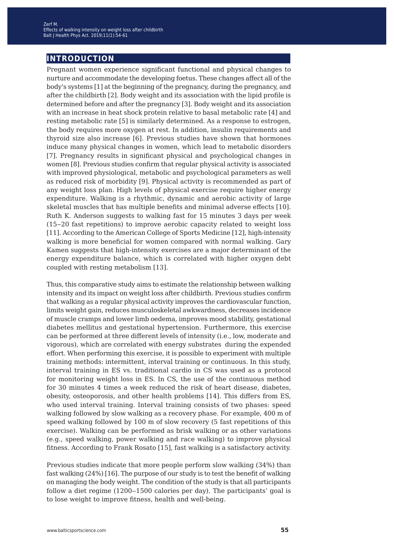### **introduction**

Pregnant women experience significant functional and physical changes to nurture and accommodate the developing foetus. These changes affect all of the body's systems [1] at the beginning of the pregnancy, during the pregnancy, and after the childbirth [2]. Body weight and its association with the lipid profile is determined before and after the pregnancy [3]. Body weight and its association with an increase in heat shock protein relative to basal metabolic rate [4] and resting metabolic rate [5] is similarly determined. As a response to estrogen, the body requires more oxygen at rest. In addition, insulin requirements and thyroid size also increase [6]. Previous studies have shown that hormones induce many physical changes in women, which lead to metabolic disorders [7]. Pregnancy results in significant physical and psychological changes in women [8]. Previous studies confirm that regular physical activity is associated with improved physiological, metabolic and psychological parameters as well as reduced risk of morbidity [9]. Physical activity is recommended as part of any weight loss plan. High levels of physical exercise require higher energy expenditure. Walking is a rhythmic, dynamic and aerobic activity of large skeletal muscles that has multiple benefits and minimal adverse effects [10]. Ruth K. Anderson suggests to walking fast for 15 minutes 3 days per week (15‒20 fast repetitions) to improve aerobic capacity related to weight loss [11]. According to the American College of Sports Medicine [12], high-intensity walking is more beneficial for women compared with normal walking. Gary Kamen suggests that high-intensity exercises are a major determinant of the energy expenditure balance, which is correlated with higher oxygen debt coupled with resting metabolism [13].

Thus, this comparative study aims to estimate the relationship between walking intensity and its impact on weight loss after childbirth. Previous studies confirm that walking as a regular physical activity improves the cardiovascular function, limits weight gain, reduces musculoskeletal awkwardness, decreases incidence of muscle cramps and lower limb oedema, improves mood stability, gestational diabetes mellitus and gestational hypertension. Furthermore, this exercise can be performed at three different levels of intensity (i.e., low, moderate and vigorous), which are correlated with energy substrates during the expended effort. When performing this exercise, it is possible to experiment with multiple training methods: intermittent, interval training or continuous. In this study, interval training in ES vs. traditional cardio in CS was used as a protocol for monitoring weight loss in ES. In CS, the use of the continuous method for 30 minutes 4 times a week reduced the risk of heart disease, diabetes, obesity, osteoporosis, and other health problems [14]. This differs from ES, who used interval training. Interval training consists of two phases: speed walking followed by slow walking as a recovery phase. For example, 400 m of speed walking followed by 100 m of slow recovery (5 fast repetitions of this exercise). Walking can be performed as brisk walking or as other variations (e.g., speed walking, power walking and race walking) to improve physical fitness. According to Frank Rosato [15], fast walking is a satisfactory activity.

Previous studies indicate that more people perform slow walking (34%) than fast walking (24%) [16]. The purpose of our study is to test the benefit of walking on managing the body weight. The condition of the study is that all participants follow a diet regime (1200–1500 calories per day). The participants' goal is to lose weight to improve fitness, health and well-being.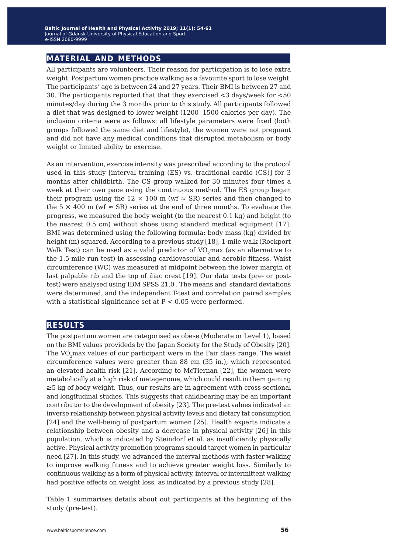### **material and methods**

All participants are volunteers. Their reason for participation is to lose extra weight. Postpartum women practice walking as a favourite sport to lose weight. The participants' age is between 24 and 27 years. Their BMI is between 27 and 30. The participants reported that that they exercised <3 days/week for <50 minutes/day during the 3 months prior to this study. All participants followed a diet that was designed to lower weight (1200-1500 calories per day). The inclusion criteria were as follows: all lifestyle parameters were fixed (both groups followed the same diet and lifestyle), the women were not pregnant and did not have any medical conditions that disrupted metabolism or body weight or limited ability to exercise.

As an intervention, exercise intensity was prescribed according to the protocol used in this study [interval training (ES) vs. traditional cardio (CS)] for 3 months after childbirth. The CS group walked for 30 minutes four times a week at their own pace using the continuous method. The ES group began their program using the 12  $\times$  100 m (wf  $\approx$  SR) series and then changed to the 5  $\times$  400 m (wf  $\approx$  SR) series at the end of three months. To evaluate the progress, we measured the body weight (to the nearest 0.1 kg) and height (to the nearest 0.5 cm) without shoes using standard medical equipment [17]. BMI was determined using the following formula: body mass (kg) divided by height (m) squared. According to a previous study [18], 1-mile walk (Rockport Walk Test) can be used as a valid predictor of  $VO<sub>2</sub>$  max (as an alternative to the 1.5-mile run test) in assessing cardiovascular and aerobic fitness. Waist circumference (WC) was measured at midpoint between the lower margin of last palpable rib and the top of iliac crest [19]. Our data tests (pre- or posttest) were analysed using IBM SPSS 21.0 . The means and standard deviations were determined, and the independent T-test and correlation paired samples with a statistical significance set at  $P < 0.05$  were performed.

#### **results**

The postpartum women are categorised as obese (Moderate or Level 1), based on the BMI values provideds by the Japan Society for the Study of Obesity [20]. The VO<sub>2</sub>max values of our participant were in the Fair class range. The waist circumference values were greater than 88 cm (35 in.), which represented an elevated health risk [21]. According to McTiernan [22], the women were metabolically at a high risk of metagenome, which could result in them gaining ≥5 kg of body weight. Thus, our results are in agreement with cross-sectional and longitudinal studies. This suggests that childbearing may be an important contributor to the development of obesity [23]. The pre-test values indicated an inverse relationship between physical activity levels and dietary fat consumption [24] and the well-being of postpartum women [25]. Health experts indicate a relationship between obesity and a decrease in physical activity [26] in this population, which is indicated by Steindorf et al. as insufficiently physically active. Physical activity promotion programs should target women in particular need [27]. In this study, we advanced the interval methods with faster walking to improve walking fitness and to achieve greater weight loss. Similarly to continuous walking as a form of physical activity, interval or intermittent walking had positive effects on weight loss, as indicated by a previous study [28].

Table 1 summarises details about out participants at the beginning of the study (pre-test).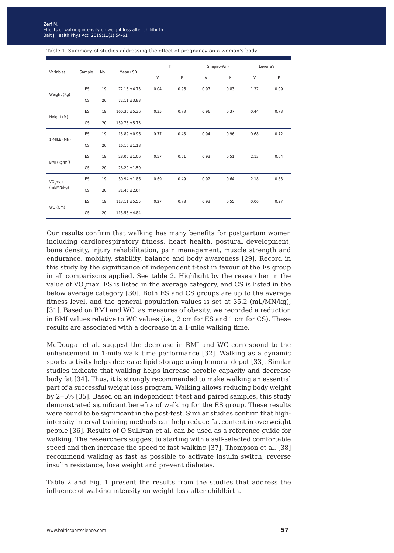| Variables                         | Sample    | No. | Mean±SD           | T      |      | Shapiro-Wilk |      | Levene's |      |
|-----------------------------------|-----------|-----|-------------------|--------|------|--------------|------|----------|------|
|                                   |           |     |                   | $\vee$ | P    | $\vee$       | P    | $\vee$   | P    |
| Weight (Kg)                       | ES        | 19  | $72.16 \pm 4.73$  | 0.04   | 0.96 | 0.97         | 0.83 | 1.37     | 0.09 |
|                                   | CS        | 20  | $72.11 \pm 3.83$  |        |      |              |      |          |      |
| Height (M)                        | ES        | 19  | $160.36 \pm 5.36$ | 0.35   | 0.73 | 0.96         | 0.37 | 0.44     | 0.73 |
|                                   | <b>CS</b> | 20  | $159.75 + 5.75$   |        |      |              |      |          |      |
| 1-MILE (MN)                       | ES        | 19  | $15.89 \pm 0.96$  | 0.77   | 0.45 | 0.94         | 0.96 | 0.68     | 0.72 |
|                                   | <b>CS</b> | 20  | $16.16 \pm 1.18$  |        |      |              |      |          |      |
| BMI (kg/m <sup>2</sup> )          | ES        | 19  | $28.05 \pm 1.06$  | 0.57   | 0.51 | 0.93         | 0.51 | 2.13     | 0.64 |
|                                   | <b>CS</b> | 20  | $28.29 \pm 1.50$  |        |      |              |      |          |      |
| VO <sub>2</sub> max<br>(mI/MN/kg) | ES        | 19  | $30.94 \pm 1.86$  | 0.69   | 0.49 | 0.92         | 0.64 | 2.18     | 0.83 |
|                                   | CS        | 20  | $31.45 \pm 2.64$  |        |      |              |      |          |      |
| WC (Cm)                           | ES        | 19  | $113.11 \pm 5.55$ | 0.27   | 0.78 | 0.93         | 0.55 | 0.06     | 0.27 |
|                                   | <b>CS</b> | 20  | $113.56 \pm 4.84$ |        |      |              |      |          |      |

Table 1. Summary of studies addressing the effect of pregnancy on a woman's body

Our results confirm that walking has many benefits for postpartum women including cardiorespiratory fitness, heart health, postural development, bone density, injury rehabilitation, pain management, muscle strength and endurance, mobility, stability, balance and body awareness [29]. Record in this study by the significance of independent t-test in favour of the Es group in all comparisons applied. See table 2. Highlight by the researcher in the value of VO<sub>2</sub>max. ES is listed in the average category, and CS is listed in the below average category [30]. Both ES and CS groups are up to the average fitness level, and the general population values is set at 35.2 (mL/MN/kg), [31]. Based on BMI and WC, as measures of obesity, we recorded a reduction in BMI values relative to WC values (i.e., 2 cm for ES and 1 cm for CS). These results are associated with a decrease in a 1-mile walking time.

McDougal et al. suggest the decrease in BMI and WC correspond to the enhancement in 1-mile walk time performance [32]. Walking as a dynamic sports activity helps decrease lipid storage using femoral depot [33]. Similar studies indicate that walking helps increase aerobic capacity and decrease body fat [34]. Thus, it is strongly recommended to make walking an essential part of a successful weight loss program. Walking allows reducing body weight by 2‒5% [35]. Based on an independent t-test and paired samples, this study demonstrated significant benefits of walking for the ES group. These results were found to be significant in the post-test. Similar studies confirm that highintensity interval training methods can help reduce fat content in overweight people [36]. Results of O'Sullivan et al. can be used as a reference guide for walking. The researchers suggest to starting with a self-selected comfortable speed and then increase the speed to fast walking [37]. Thompson et al. [38] recommend walking as fast as possible to activate insulin switch, reverse insulin resistance, lose weight and prevent diabetes.

Table 2 and Fig. 1 present the results from the studies that address the influence of walking intensity on weight loss after childbirth.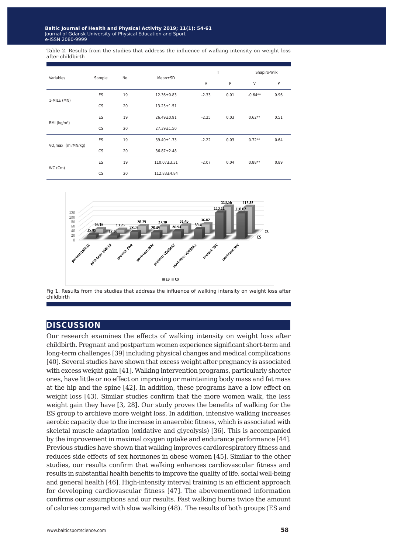Table 2. Results from the studies that address the influence of walking intensity on weight loss after childbirth

| Variables                      |           | No. | Mean±SD           | Т       |      | Shapiro-Wilk |      |
|--------------------------------|-----------|-----|-------------------|---------|------|--------------|------|
|                                | Sample    |     |                   | V       | P    | V            | P    |
| 1-MILE (MN)                    | <b>ES</b> | 19  | $12.36 \pm 0.83$  | $-2.33$ | 0.01 | $-0.64**$    | 0.96 |
|                                | CS        | 20  | $13.25 \pm 1.51$  |         |      |              |      |
| BMI $(kg/m2)$                  | ES        | 19  | $26.49 \pm 0.91$  | $-2.25$ | 0.03 | $0.62**$     | 0.51 |
|                                | <b>CS</b> | 20  | $27.39 \pm 1.50$  |         |      |              |      |
| VO <sub>2</sub> max (ml/MN/kg) | ES        | 19  | $39.40 \pm 1.73$  | $-2.22$ | 0.03 | $0.72**$     | 0.64 |
|                                | CS        | 20  | $36.87 \pm 2.48$  |         |      |              |      |
| WC (Cm)                        | <b>ES</b> | 19  | $110.07 \pm 3.31$ | $-2.07$ | 0.04 | $0.88**$     | 0.89 |
|                                | <b>CS</b> | 20  | 112.83±4.84       |         |      |              |      |



Fig 1. Results from the studies that address the influence of walking intensity on weight loss after childbirth

#### **discussion**

Our research examines the effects of walking intensity on weight loss after childbirth. Pregnant and postpartum women experience significant short-term and long-term challenges [39] including physical changes and medical complications [40]. Several studies have shown that excess weight after pregnancy is associated with excess weight gain [41]. Walking intervention programs, particularly shorter ones, have little or no effect on improving or maintaining body mass and fat mass at the hip and the spine [42]. In addition, these programs have a low effect on weight loss [43). Similar studies confirm that the more women walk, the less weight gain they have [3, 28]. Our study proves the benefits of walking for the ES group to archieve more weight loss. In addition, intensive walking increases aerobic capacity due to the increase in anaerobic fitness, which is associated with skeletal muscle adaptation (oxidative and glycolysis) [36]. This is accompanied by the improvement in maximal oxygen uptake and endurance performance [44]. Previous studies have shown that walking improves cardiorespiratory fitness and reduces side effects of sex hormones in obese women [45]. Similar to the other studies, our results confirm that walking enhances cardiovascular fitness and results in substantial health benefits to improve the quality of life, social well-being and general health [46]. High-intensity interval training is an efficient approach for developing cardiovascular fitness [47]. The abovementioned information confirms our assumptions and our results. Fast walking burns twice the amount of calories compared with slow walking (48). The results of both groups (ES and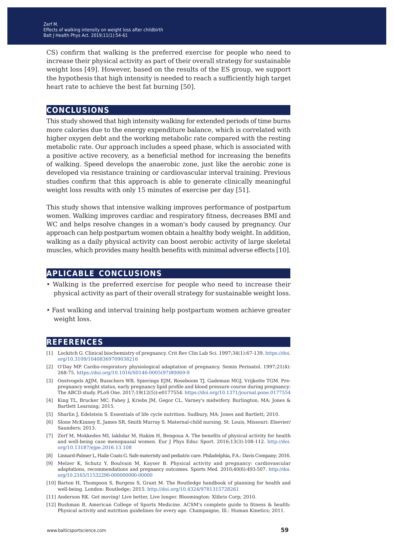CS) confirm that walking is the preferred exercise for people who need to increase their physical activity as part of their overall strategy for sustainable weight loss [49]. However, based on the results of the ES group, we support the hypothesis that high intensity is needed to reach a sufficiently high target heart rate to achieve the best fat burning [50].

#### **conclusions**

This study showed that high intensity walking for extended periods of time burns more calories due to the energy expenditure balance, which is correlated with higher oxygen debt and the working metabolic rate compared with the resting metabolic rate. Our approach includes a speed phase, which is associated with a positive active recovery, as a beneficial method for increasing the benefits of walking. Speed develops the anaerobic zone, just like the aerobic zone is developed via resistance training or cardiovascular interval training. Previous studies confirm that this approach is able to generate clinically meaningful weight loss results with only 15 minutes of exercise per day [51].

This study shows that intensive walking improves performance of postpartum women. Walking improves cardiac and respiratory fitness, decreases BMI and WC and helps resolve changes in a woman's body caused by pregnancy. Our approach can help postpartum women obtain a healthy body weight. In addition, walking as a daily physical activity can boost aerobic activity of large skeletal muscles, which provides many health benefits with minimal adverse effects [10].

#### **aplicable conclusions**

- Walking is the preferred exercise for people who need to increase their physical activity as part of their overall strategy for sustainable weight loss.
- Fast walking and interval training help postpartum women achieve greater weight loss.

#### **references**

- [1] Lockitch G. Clinical biochemistry of pregnancy. Crit Rev Clin Lab Sci. 1997;34(1):67-139. [https://doi.](https://doi.org/10.3109/10408369709038216) [org/10.3109/10408369709038216](https://doi.org/10.3109/10408369709038216)
- [2] O'Day MP. Cardio-respiratory physiological adaptation of pregnancy. Semin Perinatol. 1997;21(4): 268-75. [https://doi.org/10.1016/S0146-0005\(97\)80069-9](https://doi.org/10.1016/S0146-0005(97)80069-9)
- [3] Oostvogels AJJM, Busschers WB, Spierings EJM, Roseboom TJ, Gademan MGJ, Vrijkotte TGM. Prepregnancy weight status, early pregnancy lipid profile and blood pressure course during pregnancy: The ABCD study. PLoS One. 2017;19(12(5)):e0177554. [https://doi.org/10.1371/journal.pone.0177554](https://doi.org/10.1371/journal.pone.0177554
)
- [4] King TL, Brucker MC, Fahey J, Kriebs JM, Gegor CL. Varney's midwifery. Burlington, MA: Jones & Bartlett Learning; 2015.
- [5] Sharlin J, Edelstein S. Essentials of life cycle nutrition. Sudbury, MA: Jones and Bartlett; 2010.
- [6] Slone McKinney E, James SR, Smith Murray S. Maternal-child nursing. St. Louis, Missouri: Elsevier/ Saunders; 2013.
- [7] Zerf M, Mokkedes MI, lakhdar M, Hakim H, Bengoua A. The benefits of physical activity for health and well-being case menopausal women. Eur J Phys Educ Sport. 2016;13(3):108-112. h[ttp://doi.](http://doi.org/10.13187/ejpe.2016.13.108) [org/10.13187/ejpe.2016.13.108](http://doi.org/10.13187/ejpe.2016.13.108)
- [8] Linnard-Palmer L, Haile Coats G. Safe maternity and pediatric care. Philadelphia, F.A.: Davis Company; 2016.
- [9] Melzer K, Schutz Y, Boulvain M, Kayser B. Physical activity and pregnancy: cardiovascular adaptations, recommendations and pregnancy outcomes. Sports Med. 2010;40(6):493-507. [http://doi.](http://doi.org/10.2165/11532290-000000000-00000) [org/10.2165/11532290-000000000-00000](http://doi.org/10.2165/11532290-000000000-00000)
- [10] Barton H, Thompson S, Burgess S, Grant M. The Routledge handbook of planning for health and well-being. London: Routledge; 2015. <http://doi.org/10.4324/9781315728261>
- [11] Anderson RK. Get moving! Live better, Live longer. Bloomington: Xlibris Corp; 2010.
- [12] Bushman B, American College of Sports Medicine. ACSM's complete guide to fitness & health: Physical activity and nutrition guidelines for every age. Champaigne, Ill.: Human Kinetics; 2011.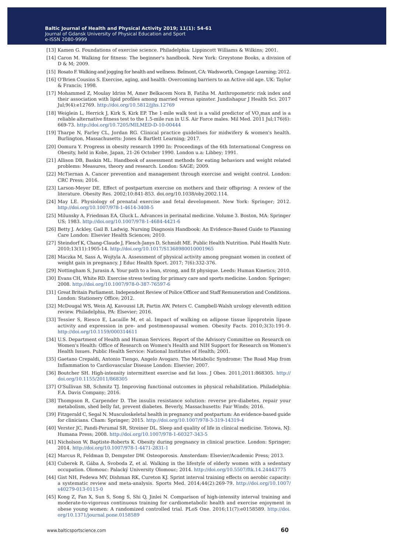- [13] Kamen G. Foundations of exercise science. Philadelphia: Lippincott Williams & Wilkins; 2001.
- [14] Caron M. Walking for fitness: The beginner's handbook. New York: Greystone Books, a division of D & M; 2009.
- [15] Rosato F. Walking and jogging for health and wellness. Belmont, CA: Wadsworth, Cengage Learning; 2012.
- [16] O'Brien Cousins S. Exercise, aging, and health: Overcoming barriers to an Active old age. UK: Taylor & Francis; 1998.
- [17] Mohammed Z, Moulay Idriss M, Amer Belkacem Nora B, Fatiha M. Anthropometric risk index and their association with lipid profiles among married versus spinster. Jundishapur J Health Sci. 2017 Jul;9(4):e12769. <http://doi.org/10.5812/jjhs.12769>
- [18] Weiglein L, Herrick J, Kirk S, Kirk EP. The 1-mile walk test is a valid predictor of VO<sub>2</sub>max and is a reliable alternative fitness test to the 1.5-mile run in U.S. Air Force males. Mil Med. 2011 Jul;176(6): 669-73.<http://doi.org/10.7205/MILMED-D-10-00444>
- [19] Tharpe N, Farley CL, Jordan RG. Clinical practice guidelines for midwifery & women's health. Burlington, Massachusetts: Jones & Bartlett Learning; 2017.
- [20] Oomura Y. Progress in obesity research 1990 In: Proceedings of the 6th International Congress on Obesity, held in Kobe, Japan, 21-26 October 1990. London u.a: Libbey; 1991.
- [21] Allison DB, Baskin ML. Handbook of assessment methods for eating behaviors and weight related problems: Measures, theory and research. London: SAGE; 2009.
- [22] McTiernan A. Cancer prevention and management through exercise and weight control. London: CRC Press; 2016.
- [23] Larson-Meyer DE. Effect of postpartum exercise on mothers and their offspring: A review of the literature. Obesity Res. 2002;10:841-853. [doi.org/10.1038/oby.2002.114](http://doi.org/10.1038/oby.2002.114).
- [24] May LE. Physiology of prenatal exercise and fetal development. New York: Springer; 2012. <http://doi.org/10.1007/978-1-4614-3408-5>
- [25] Milunsky A, Friedman EA, Gluck L. Advances in perinatal medicine. Volume 3. Boston, MA: Springer US; 1983. <http://doi.org/10.1007/978-1-4684-4421-6>
- [26] Betty J. Ackley, Gail B. Ladwig. Nursing Diagnosis Handbook: An Evidence-Based Guide to Planning Care London: Elsevier Health Sciences; 2010.
- [27] Steindorf K, Chang-Claude J, Flesch-Janys D, Schmidt ME. Public Health Nutrition. Publ Health Nutr. 2010;13(11):1905-14.<http://doi.org/10.1017/S1368980010001965>
- [28] Maczka M, Sass A, Wojtyla A. Assessment of physical activity among pregnant women in context of weight gain in pregnancy. J Educ Health Sport. 2017; 7(6):332-376.
- [29] Nottingham S, Jurasin A. Your path to a lean, strong, and fit physique. Leeds: Human Kinetics; 2010.
- [30] Evans CH, White RD. Exercise stress testing for primary care and sports medicine. London: Springer; 2008.<http://doi.org/10.1007/978-0-387-76597-6>
- [31] Great Britain Parliament. Independent Review of Police Officer and Staff Remuneration and Conditions. London: Stationery Office; 2012.
- [32] McDougal WS, Wein AJ, Kavoussi LR, Partin AW, Peters C. Campbell-Walsh urology eleventh edition review. Philadelphia, PA: Elsevier; 2016.
- [33] Tessier S, Riesco E, Lacaille M, et al. Impact of walking on adipose tissue lipoprotein lipase activity and expression in pre- and postmenopausal women. Obesity Facts. 2010;3(3):191-9. <http://doi.org/10.1159/000314611>
- [34] U.S. Department of Health and Human Services. Report of the Advisory Committee on Research on Women's Health: Office of Research on Women's Health and NIH Support for Research on Women's Health Issues. Public Health Service: National Institutes of Health; 2001.
- [35] Gaetano Crepaldi, Antonio Tiengo, Angelo Avogaro. The Metabolic Syndrome: The Road Map from Inflammation to Cardiovascular Disease London: Elsevier; 2007.
- [36] Boutcher SH. High-intensity [in](http://doi.org/10.1155/2011/868305)termittent exercise and fat loss. J Obes. 2011;2011:868305. [http://](http://doi.org/10.1155/2011/868305) [doi.org/10.1155/2011/868305](http://doi.org/10.1155/2011/868305)
- [37] O'Sullivan SB, Schmitz TJ. Improving functional outcomes in physical rehabilitation. Philadelphia: F.A. Davis Company; 2016.
- [38] Thompson R, Carpender D. The insulin resistance solution: reverse pre-diabetes, repair your metabolism, shed belly fat, prevent diabetes. Beverly, Massachusetts: Fair Winds; 2016.
- [39] Fitzgerald C, Segal N. Musculoskeletal health in pregnancy and postpartum: An evidence-based guide for clinicians. Cham: Springer; 2015. <http://doi.org/10.1007/978-3-319-14319-4>
- [40] Verster JC, Pandi-Perumal SR, Streiner DL. Sleep and quality of life in clinical medicine. Totowa, NJ: Humana Press; 2008. <http://doi.org/10.1007/978-1-60327-343-5>
- [41] Nicholson W, Baptiste-Roberts K. Obesity during pregnancy in clinical practice. London: Springer; 2014.<http://doi.org/10.1007/978-1-4471-2831-1>
- [42] Marcus R, Feldman D, Dempster DW. Osteoporosis. Amsterdam: Elsevier/Academic Press; 2013.
- [43] Cuberek R, Gába A, Svoboda Z, et al. Walking in the lifestyle of elderly women with a sedentary occupation. Olomouc: Palacký University Olomouc; 2014.<http://doi.org/10.5507/ftk.14.24443775>
- [44] Gist NH, Fedewa MV, Dishman RK, Cureton KJ. Sprint interval training effects on aerobic capacity: a systematic review and meta-analysis. Sports Med. 2014;44(2):269-79. [http://doi.org/10.1007/](http://doi.org/10.1007/s40279-013-0115-0) [s40279-013-0115-0](http://doi.org/10.1007/s40279-013-0115-0)
- [45] Kong Z, Fan X, Sun S, Song S, Shi Q, Jinlei N. Comparison of high-intensity interval training and moderate-to-vigorous continuous training for cardiometabolic health and exercise enjoyment in obese young women: A randomized controlled trial. PLoS One. 2016;11(7):e0158589. [http://doi.](http://doi.org/10.1371/journal.pone.0158589) [org/10.1371/journal.pone.0158589](http://doi.org/10.1371/journal.pone.0158589)